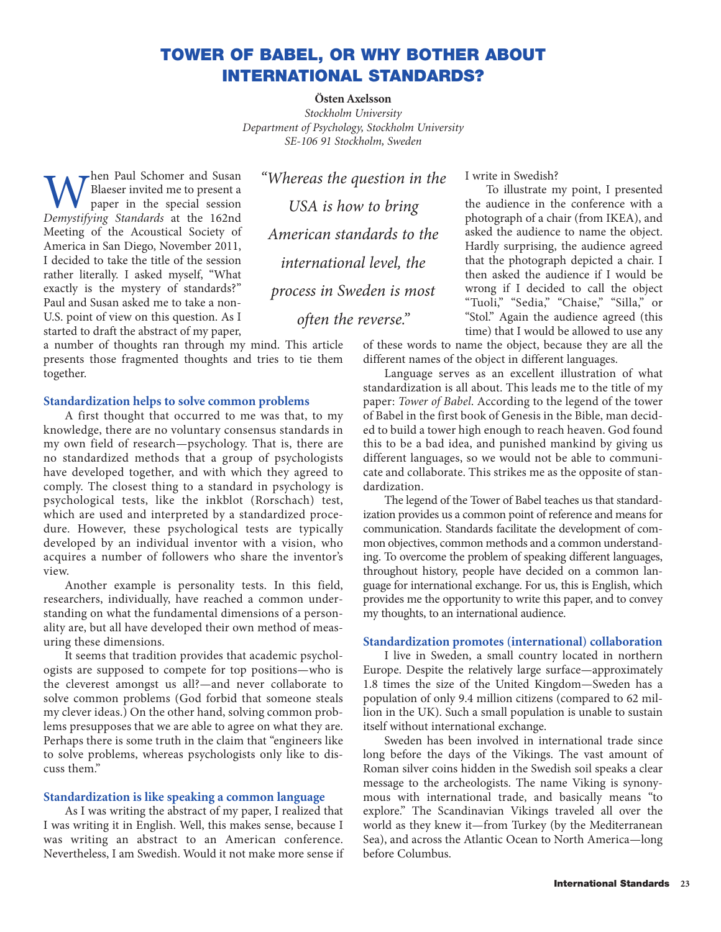# **TOWER OF BABEL, OR WHY BOTHER ABOUT INTERNATIONAL STANDARDS?**

**Östen Axelsson** *Stockholm University Department of Psychology, Stockholm University SE-106 91 Stockholm, Sweden*

*"Whereas the question in the*

*USA is how to bring*

*American standards to the*

*international level, the*

*process in Sweden is most*

*often the reverse."*

 $\sum_{n=1}^{\infty}$  Paul Schomer and Susan Blaeser invited me to present a paper in the special session *Demystifying Standards* at the 162nd Meeting of the Acoustical Society of America in San Diego, November 2011, I decided to take the title of the session rather literally. I asked myself, "What exactly is the mystery of standards?" Paul and Susan asked me to take a non-U.S. point of view on this question. As I started to draft the abstract of my paper,

a number of thoughts ran through my mind. This article presents those fragmented thoughts and tries to tie them together.

## **Standardization helps to solve common problems**

A first thought that occurred to me was that, to my knowledge, there are no voluntary consensus standards in my own field of research—psychology. That is, there are no standardized methods that a group of psychologists have developed together, and with which they agreed to comply. The closest thing to a standard in psychology is psychological tests, like the inkblot (Rorschach) test, which are used and interpreted by a standardized procedure. However, these psychological tests are typically developed by an individual inventor with a vision, who acquires a number of followers who share the inventor's view.

Another example is personality tests. In this field, researchers, individually, have reached a common understanding on what the fundamental dimensions of a personality are, but all have developed their own method of measuring these dimensions.

It seems that tradition provides that academic psychologists are supposed to compete for top positions—who is the cleverest amongst us all?—and never collaborate to solve common problems (God forbid that someone steals my clever ideas.) On the other hand, solving common problems presupposes that we are able to agree on what they are. Perhaps there is some truth in the claim that "engineers like to solve problems, whereas psychologists only like to discuss them."

#### **Standardization is like speaking a common language**

As I was writing the abstract of my paper, I realized that I was writing it in English. Well, this makes sense, because I was writing an abstract to an American conference. Nevertheless, I am Swedish. Would it not make more sense if I write in Swedish?

To illustrate my point, I presented the audience in the conference with a photograph of a chair (from IKEA), and asked the audience to name the object. Hardly surprising, the audience agreed that the photograph depicted a chair. I then asked the audience if I would be wrong if I decided to call the object "Tuoli," "Sedia," "Chaise," "Silla," or "Stol." Again the audience agreed (this time) that I would be allowed to use any

of these words to name the object, because they are all the different names of the object in different languages.

Language serves as an excellent illustration of what standardization is all about. This leads me to the title of my paper: *Tower of Babel*. According to the legend of the tower of Babel in the first book of Genesis in the Bible, man decided to build a tower high enough to reach heaven. God found this to be a bad idea, and punished mankind by giving us different languages, so we would not be able to communicate and collaborate. This strikes me as the opposite of standardization.

The legend of the Tower of Babel teaches us that standardization provides us a common point of reference and means for communication. Standards facilitate the development of common objectives, common methods and a common understanding. To overcome the problem of speaking different languages, throughout history, people have decided on a common language for international exchange. For us, this is English, which provides me the opportunity to write this paper, and to convey my thoughts, to an international audience.

### **Standardization promotes (international) collaboration**

I live in Sweden, a small country located in northern Europe. Despite the relatively large surface—approximately 1.8 times the size of the United Kingdom—Sweden has a population of only 9.4 million citizens (compared to 62 million in the UK). Such a small population is unable to sustain itself without international exchange.

Sweden has been involved in international trade since long before the days of the Vikings. The vast amount of Roman silver coins hidden in the Swedish soil speaks a clear message to the archeologists. The name Viking is synonymous with international trade, and basically means "to explore." The Scandinavian Vikings traveled all over the world as they knew it—from Turkey (by the Mediterranean Sea), and across the Atlantic Ocean to North America—long before Columbus.